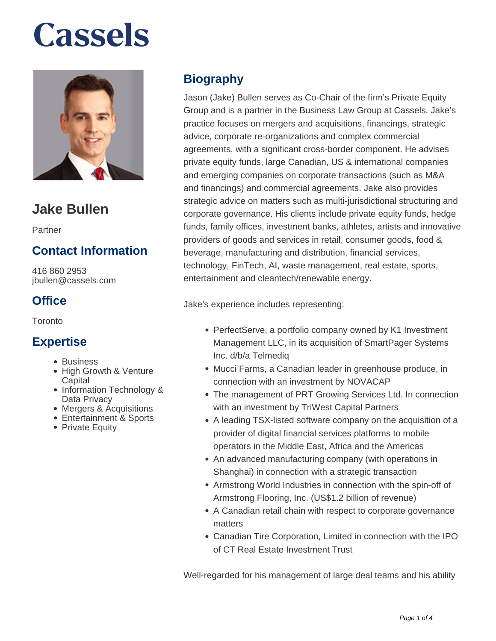

### **Jake Bullen**

Partner

#### **Contact Information**

416 860 2953 jbullen@cassels.com

#### **Office**

**Toronto** 

#### **Expertise**

- Business
- High Growth & Venture Capital
- Information Technology & Data Privacy
- Mergers & Acquisitions
- Entertainment & Sports
- Private Equity

#### **Biography**

Jason (Jake) Bullen serves as Co-Chair of the firm's Private Equity Group and is a partner in the Business Law Group at Cassels. Jake's practice focuses on mergers and acquisitions, financings, strategic advice, corporate re-organizations and complex commercial agreements, with a significant cross-border component. He advises private equity funds, large Canadian, US & international companies and emerging companies on corporate transactions (such as M&A and financings) and commercial agreements. Jake also provides strategic advice on matters such as multi-jurisdictional structuring and corporate governance. His clients include private equity funds, hedge funds, family offices, investment banks, athletes, artists and innovative providers of goods and services in retail, consumer goods, food & beverage, manufacturing and distribution, financial services, technology, FinTech, AI, waste management, real estate, sports, entertainment and cleantech/renewable energy.

Jake's experience includes representing:

- PerfectServe, a portfolio company owned by K1 Investment Management LLC, in its acquisition of SmartPager Systems Inc. d/b/a Telmediq
- Mucci Farms, a Canadian leader in greenhouse produce, in connection with an investment by NOVACAP
- The management of PRT Growing Services Ltd. In connection with an investment by TriWest Capital Partners
- A leading TSX-listed software company on the acquisition of a provider of digital financial services platforms to mobile operators in the Middle East, Africa and the Americas
- An advanced manufacturing company (with operations in Shanghai) in connection with a strategic transaction
- Armstrong World Industries in connection with the spin-off of Armstrong Flooring, Inc. (US\$1.2 billion of revenue)
- A Canadian retail chain with respect to corporate governance matters
- Canadian Tire Corporation, Limited in connection with the IPO of CT Real Estate Investment Trust

Well-regarded for his management of large deal teams and his ability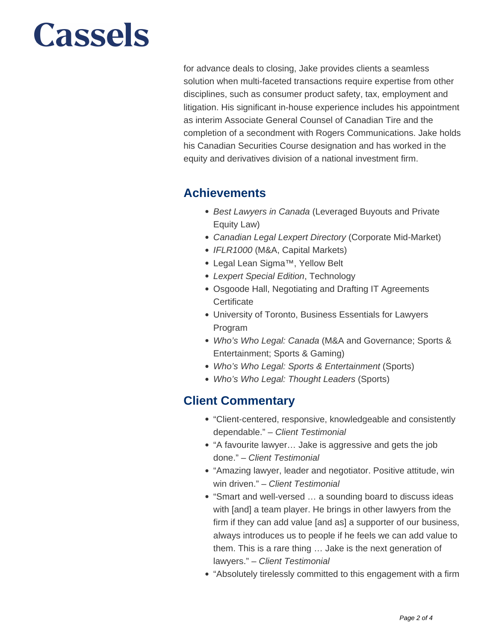for advance deals to closing, Jake provides clients a seamless solution when multi-faceted transactions require expertise from other disciplines, such as consumer product safety, tax, employment and litigation. His significant in-house experience includes his appointment as interim Associate General Counsel of Canadian Tire and the completion of a secondment with Rogers Communications. Jake holds his Canadian Securities Course designation and has worked in the equity and derivatives division of a national investment firm.

#### **Achievements**

- Best Lawyers in Canada (Leveraged Buyouts and Private Equity Law)
- Canadian Legal Lexpert Directory (Corporate Mid-Market)
- IFLR1000 (M&A, Capital Markets)
- Legal Lean Sigma™, Yellow Belt
- Lexpert Special Edition, Technology
- Osgoode Hall, Negotiating and Drafting IT Agreements **Certificate**
- University of Toronto, Business Essentials for Lawyers Program
- Who's Who Legal: Canada (M&A and Governance; Sports & Entertainment; Sports & Gaming)
- Who's Who Legal: Sports & Entertainment (Sports)
- Who's Who Legal: Thought Leaders (Sports)

#### **Client Commentary**

- "Client-centered, responsive, knowledgeable and consistently dependable." – Client Testimonial
- "A favourite lawyer… Jake is aggressive and gets the job done." – Client Testimonial
- "Amazing lawyer, leader and negotiator. Positive attitude, win win driven." - Client Testimonial
- "Smart and well-versed … a sounding board to discuss ideas with [and] a team player. He brings in other lawyers from the firm if they can add value [and as] a supporter of our business, always introduces us to people if he feels we can add value to them. This is a rare thing … Jake is the next generation of lawyers." – Client Testimonial
- "Absolutely tirelessly committed to this engagement with a firm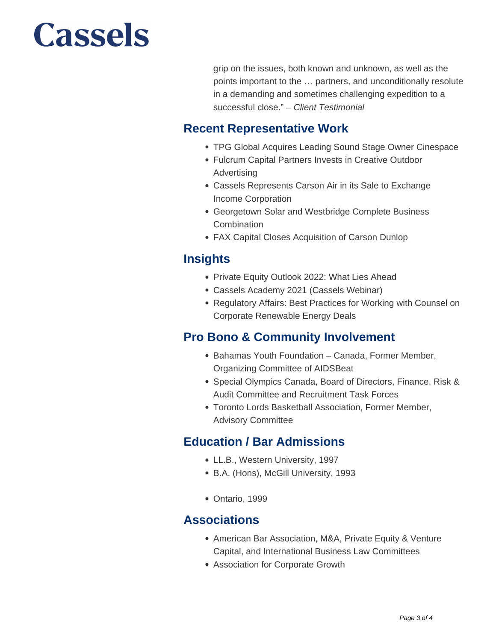grip on the issues, both known and unknown, as well as the points important to the … partners, and unconditionally resolute in a demanding and sometimes challenging expedition to a successful close." - Client Testimonial

#### **Recent Representative Work**

- TPG Global Acquires Leading Sound Stage Owner Cinespace
- Fulcrum Capital Partners Invests in Creative Outdoor Advertising
- Cassels Represents Carson Air in its Sale to Exchange Income Corporation
- Georgetown Solar and Westbridge Complete Business **Combination**
- FAX Capital Closes Acquisition of Carson Dunlop

#### **Insights**

- Private Equity Outlook 2022: What Lies Ahead
- Cassels Academy 2021 (Cassels Webinar)
- Regulatory Affairs: Best Practices for Working with Counsel on Corporate Renewable Energy Deals

#### **Pro Bono & Community Involvement**

- Bahamas Youth Foundation Canada, Former Member, Organizing Committee of AIDSBeat
- Special Olympics Canada, Board of Directors, Finance, Risk & Audit Committee and Recruitment Task Forces
- Toronto Lords Basketball Association, Former Member, Advisory Committee

#### **Education / Bar Admissions**

- LL.B., Western University, 1997
- B.A. (Hons), McGill University, 1993
- Ontario, 1999

#### **Associations**

- American Bar Association, M&A, Private Equity & Venture Capital, and International Business Law Committees
- Association for Corporate Growth